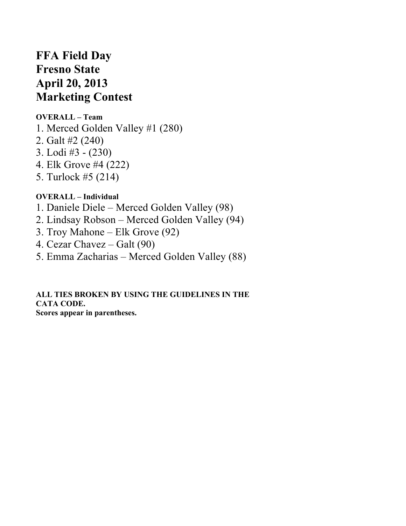# **FFA Field Day Fresno State April 20, 2013 Marketing Contest**

## **OVERALL – Team**

- 1. Merced Golden Valley #1 (280)
- 2. Galt #2 (240)
- 3. Lodi #3 (230)
- 4. Elk Grove #4 (222)
- 5. Turlock #5 (214)

## **OVERALL – Individual**

- 1. Daniele Diele Merced Golden Valley (98)
- 2. Lindsay Robson Merced Golden Valley (94)
- 3. Troy Mahone Elk Grove (92)
- 4. Cezar Chavez Galt (90)
- 5. Emma Zacharias Merced Golden Valley (88)

#### **ALL TIES BROKEN BY USING THE GUIDELINES IN THE CATA CODE. Scores appear in parentheses.**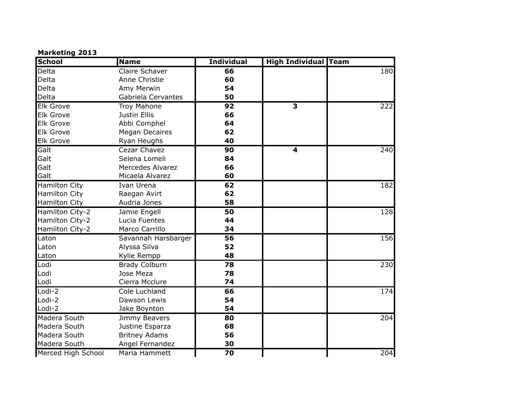#### **Marketing 2013**

| <b>School</b>        | <b>Name</b>             | <b>Individual</b> | <b>High Individual Team</b> |     |
|----------------------|-------------------------|-------------------|-----------------------------|-----|
| Delta                | Claire Schaver          | 66                |                             | 180 |
| Delta                | Anne Christie           | 60                |                             |     |
| Delta                | Amy Merwin              | 54                |                             |     |
| Delta                | Gabriela Cervantes      | 50                |                             |     |
| <b>Elk Grove</b>     | <b>Troy Mahone</b>      | 92                | $\overline{\mathbf{3}}$     | 222 |
| <b>Elk Grove</b>     | Justin Ellis            | 66                |                             |     |
| <b>Elk Grove</b>     | Abbi Comphel            | 64                |                             |     |
| <b>Elk Grove</b>     | <b>Megan Decaires</b>   | 62                |                             |     |
| <b>Elk Grove</b>     | Ryan Heughs             | 40                |                             |     |
| Galt                 | Cezar Chavez            | 90                | $\overline{\mathbf{4}}$     | 240 |
| Galt                 | Selena Lomeli           | 84                |                             |     |
| Galt                 | <b>Mercedes Alvarez</b> | 66                |                             |     |
| Galt                 | Micaela Alvarez         | 60                |                             |     |
| <b>Hamilton City</b> | Ivan Urena              | 62                |                             | 182 |
| <b>Hamilton City</b> | Raegan Avirt            | 62                |                             |     |
| <b>Hamilton City</b> | Audria Jones            | 58                |                             |     |
| Hamilton City-2      | Jamie Engell            | 50                |                             | 128 |
| Hamilton City-2      | Lucia Fuentes           | 44                |                             |     |
| Hamilton City-2      | Marco Carrillo          | 34                |                             |     |
| Laton                | Savannah Harsbarger     | $\overline{56}$   |                             | 156 |
| Laton                | Alyssa Silva            | 52                |                             |     |
| Laton                | Kylie Rempp             | 48                |                             |     |
| Lodi                 | <b>Brady Colburn</b>    | $\overline{78}$   |                             | 230 |
| Lodi                 | Jose Meza               | 78                |                             |     |
| Lodi                 | Cierra Mcclure          | 74                |                             |     |
| Lodi-2               | Cole Luchland           | 66                |                             | 174 |
| Lodi-2               | Dawson Lewis            | 54                |                             |     |
| Lodi-2               | Jake Boynton            | 54                |                             |     |
| Madera South         | Jimmy Beavers           | 80                |                             | 204 |
| Madera South         | Justine Esparza         | 68                |                             |     |
| Madera South         | <b>Britney Adams</b>    | 56                |                             |     |
| Madera South         | Angel Fernandez         | 30                |                             |     |
| Merced High School   | Maria Hammett           | $\overline{70}$   |                             | 204 |